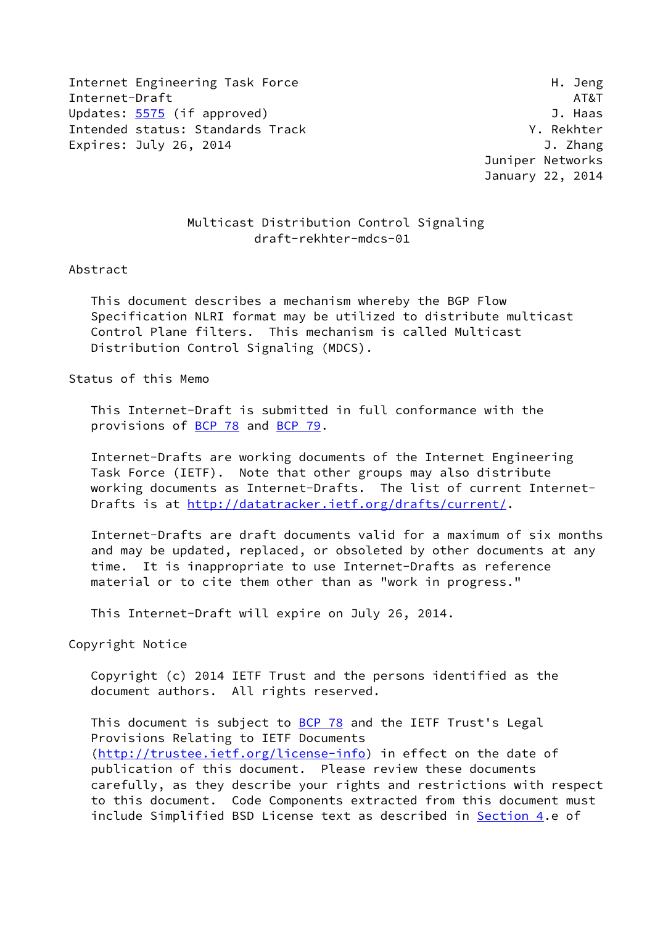Internet Engineering Task Force **H. Jeng** Internet-Draft AT&T Updates: [5575](https://datatracker.ietf.org/doc/pdf/rfc5575) (if approved) and the set of the set of the set of the set of the set of the set of the set of the set of the set of the set of the set of the set of the set of the set of the set of the set of the set of the Intended status: Standards Track Track Track Y. Rekhter Expires: July 26, 2014 **J. Zhang** 

 Juniper Networks January 22, 2014

## Multicast Distribution Control Signaling draft-rekhter-mdcs-01

#### Abstract

 This document describes a mechanism whereby the BGP Flow Specification NLRI format may be utilized to distribute multicast Control Plane filters. This mechanism is called Multicast Distribution Control Signaling (MDCS).

Status of this Memo

 This Internet-Draft is submitted in full conformance with the provisions of [BCP 78](https://datatracker.ietf.org/doc/pdf/bcp78) and [BCP 79](https://datatracker.ietf.org/doc/pdf/bcp79).

 Internet-Drafts are working documents of the Internet Engineering Task Force (IETF). Note that other groups may also distribute working documents as Internet-Drafts. The list of current Internet Drafts is at<http://datatracker.ietf.org/drafts/current/>.

 Internet-Drafts are draft documents valid for a maximum of six months and may be updated, replaced, or obsoleted by other documents at any time. It is inappropriate to use Internet-Drafts as reference material or to cite them other than as "work in progress."

This Internet-Draft will expire on July 26, 2014.

Copyright Notice

 Copyright (c) 2014 IETF Trust and the persons identified as the document authors. All rights reserved.

This document is subject to **[BCP 78](https://datatracker.ietf.org/doc/pdf/bcp78)** and the IETF Trust's Legal Provisions Relating to IETF Documents [\(http://trustee.ietf.org/license-info](http://trustee.ietf.org/license-info)) in effect on the date of publication of this document. Please review these documents carefully, as they describe your rights and restrictions with respect to this document. Code Components extracted from this document must include Simplified BSD License text as described in [Section 4.](#page-7-0)e of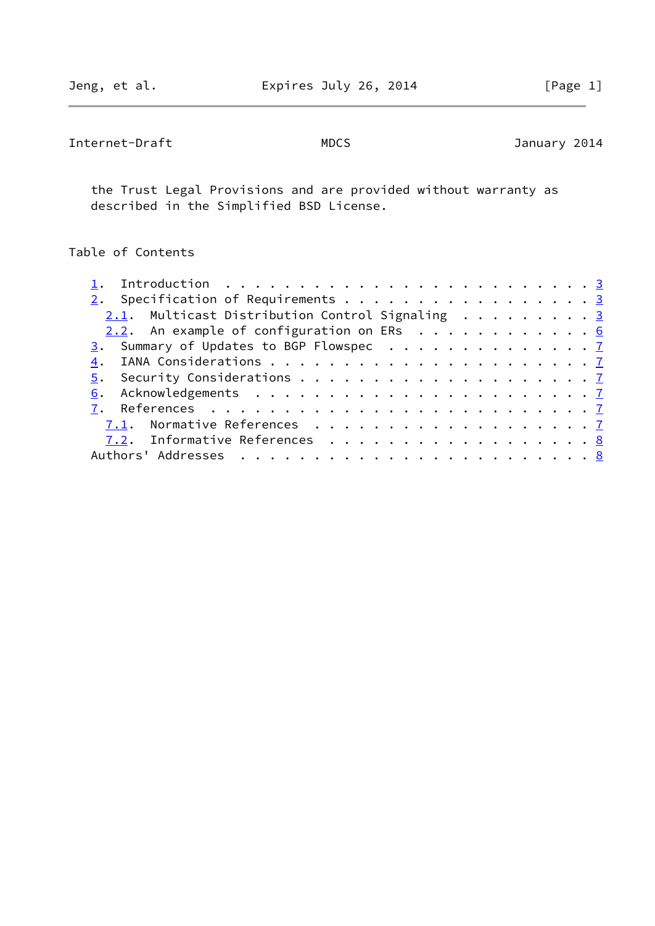Internet-Draft MDCS MOOS MOOS January 2014

 the Trust Legal Provisions and are provided without warranty as described in the Simplified BSD License.

# Table of Contents

| Introduction $\dots \dots \dots \dots \dots \dots \dots \dots \dots \dots$ |  |  |  |  |  |
|----------------------------------------------------------------------------|--|--|--|--|--|
| 2. Specification of Requirements 3                                         |  |  |  |  |  |
| 2.1. Multicast Distribution Control Signaling 3                            |  |  |  |  |  |
| 2.2. An example of configuration on ERs 6                                  |  |  |  |  |  |
| 3. Summary of Updates to BGP Flowspec 7                                    |  |  |  |  |  |
|                                                                            |  |  |  |  |  |
|                                                                            |  |  |  |  |  |
|                                                                            |  |  |  |  |  |
|                                                                            |  |  |  |  |  |
|                                                                            |  |  |  |  |  |
| 7.2. Informative References 8                                              |  |  |  |  |  |
|                                                                            |  |  |  |  |  |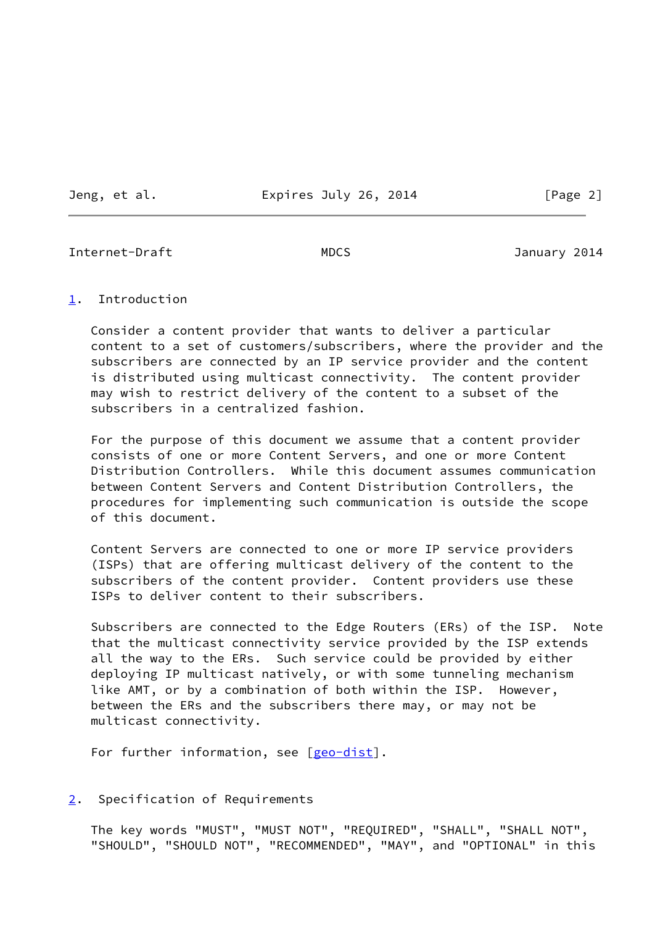Jeng, et al. **Expires July 26, 2014** [Page 2]

<span id="page-2-1"></span>Internet-Draft MDCS January 2014

### <span id="page-2-0"></span>[1](#page-2-0). Introduction

 Consider a content provider that wants to deliver a particular content to a set of customers/subscribers, where the provider and the subscribers are connected by an IP service provider and the content is distributed using multicast connectivity. The content provider may wish to restrict delivery of the content to a subset of the subscribers in a centralized fashion.

 For the purpose of this document we assume that a content provider consists of one or more Content Servers, and one or more Content Distribution Controllers. While this document assumes communication between Content Servers and Content Distribution Controllers, the procedures for implementing such communication is outside the scope of this document.

 Content Servers are connected to one or more IP service providers (ISPs) that are offering multicast delivery of the content to the subscribers of the content provider. Content providers use these ISPs to deliver content to their subscribers.

 Subscribers are connected to the Edge Routers (ERs) of the ISP. Note that the multicast connectivity service provided by the ISP extends all the way to the ERs. Such service could be provided by either deploying IP multicast natively, or with some tunneling mechanism like AMT, or by a combination of both within the ISP. However, between the ERs and the subscribers there may, or may not be multicast connectivity.

For further information, see [\[geo-dist](#page-8-1)].

<span id="page-2-2"></span>[2](#page-2-2). Specification of Requirements

 The key words "MUST", "MUST NOT", "REQUIRED", "SHALL", "SHALL NOT", "SHOULD", "SHOULD NOT", "RECOMMENDED", "MAY", and "OPTIONAL" in this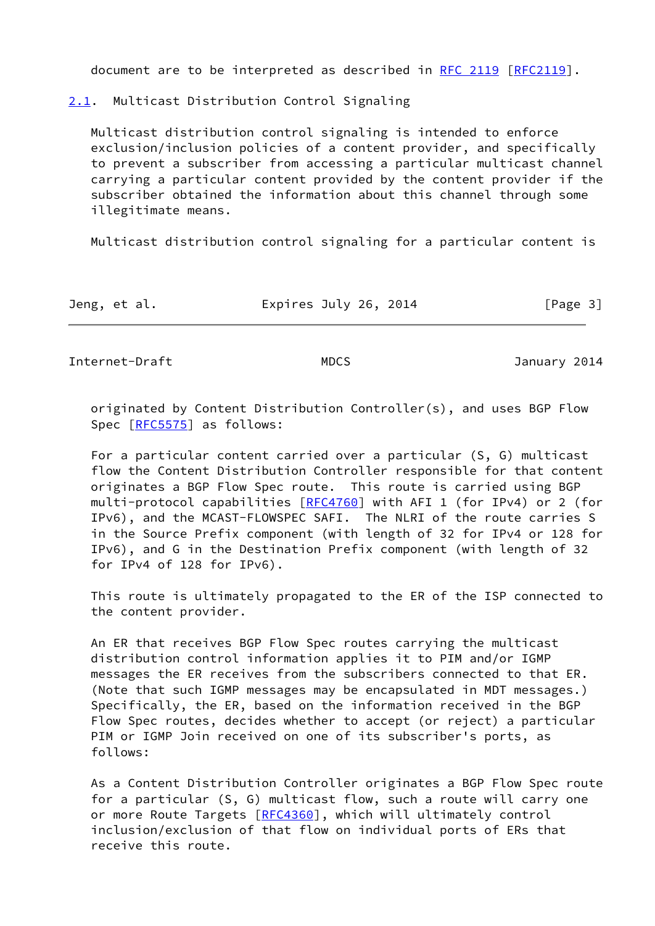document are to be interpreted as described in [RFC 2119 \[RFC2119](https://datatracker.ietf.org/doc/pdf/rfc2119)].

<span id="page-3-0"></span>[2.1](#page-3-0). Multicast Distribution Control Signaling

 Multicast distribution control signaling is intended to enforce exclusion/inclusion policies of a content provider, and specifically to prevent a subscriber from accessing a particular multicast channel carrying a particular content provided by the content provider if the subscriber obtained the information about this channel through some illegitimate means.

Multicast distribution control signaling for a particular content is

| Jeng, et al. | Expires July 26, 2014 | [Page 3] |
|--------------|-----------------------|----------|
|--------------|-----------------------|----------|

Internet-Draft MDCS MDCS January 2014

 originated by Content Distribution Controller(s), and uses BGP Flow Spec [\[RFC5575](https://datatracker.ietf.org/doc/pdf/rfc5575)] as follows:

 For a particular content carried over a particular (S, G) multicast flow the Content Distribution Controller responsible for that content originates a BGP Flow Spec route. This route is carried using BGP multi-protocol capabilities [\[RFC4760](https://datatracker.ietf.org/doc/pdf/rfc4760)] with AFI 1 (for IPv4) or 2 (for IPv6), and the MCAST-FLOWSPEC SAFI. The NLRI of the route carries S in the Source Prefix component (with length of 32 for IPv4 or 128 for IPv6), and G in the Destination Prefix component (with length of 32 for IPv4 of 128 for IPv6).

 This route is ultimately propagated to the ER of the ISP connected to the content provider.

 An ER that receives BGP Flow Spec routes carrying the multicast distribution control information applies it to PIM and/or IGMP messages the ER receives from the subscribers connected to that ER. (Note that such IGMP messages may be encapsulated in MDT messages.) Specifically, the ER, based on the information received in the BGP Flow Spec routes, decides whether to accept (or reject) a particular PIM or IGMP Join received on one of its subscriber's ports, as follows:

 As a Content Distribution Controller originates a BGP Flow Spec route for a particular (S, G) multicast flow, such a route will carry one or more Route Targets [[RFC4360](https://datatracker.ietf.org/doc/pdf/rfc4360)], which will ultimately control inclusion/exclusion of that flow on individual ports of ERs that receive this route.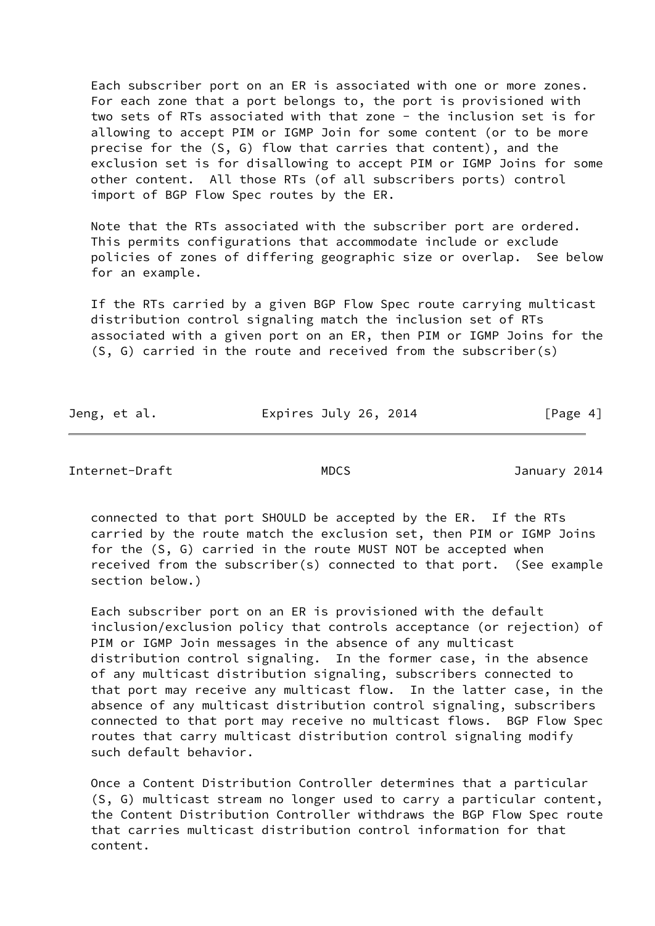Each subscriber port on an ER is associated with one or more zones. For each zone that a port belongs to, the port is provisioned with two sets of RTs associated with that zone - the inclusion set is for allowing to accept PIM or IGMP Join for some content (or to be more precise for the (S, G) flow that carries that content), and the exclusion set is for disallowing to accept PIM or IGMP Joins for some other content. All those RTs (of all subscribers ports) control import of BGP Flow Spec routes by the ER.

 Note that the RTs associated with the subscriber port are ordered. This permits configurations that accommodate include or exclude policies of zones of differing geographic size or overlap. See below for an example.

 If the RTs carried by a given BGP Flow Spec route carrying multicast distribution control signaling match the inclusion set of RTs associated with a given port on an ER, then PIM or IGMP Joins for the (S, G) carried in the route and received from the subscriber(s)

| Jeng, et al. | Expires July 26, 2014 | [Page 4] |
|--------------|-----------------------|----------|
|              |                       |          |

Internet-Draft MDCS January 2014

 connected to that port SHOULD be accepted by the ER. If the RTs carried by the route match the exclusion set, then PIM or IGMP Joins for the (S, G) carried in the route MUST NOT be accepted when received from the subscriber(s) connected to that port. (See example section below.)

 Each subscriber port on an ER is provisioned with the default inclusion/exclusion policy that controls acceptance (or rejection) of PIM or IGMP Join messages in the absence of any multicast distribution control signaling. In the former case, in the absence of any multicast distribution signaling, subscribers connected to that port may receive any multicast flow. In the latter case, in the absence of any multicast distribution control signaling, subscribers connected to that port may receive no multicast flows. BGP Flow Spec routes that carry multicast distribution control signaling modify such default behavior.

 Once a Content Distribution Controller determines that a particular (S, G) multicast stream no longer used to carry a particular content, the Content Distribution Controller withdraws the BGP Flow Spec route that carries multicast distribution control information for that content.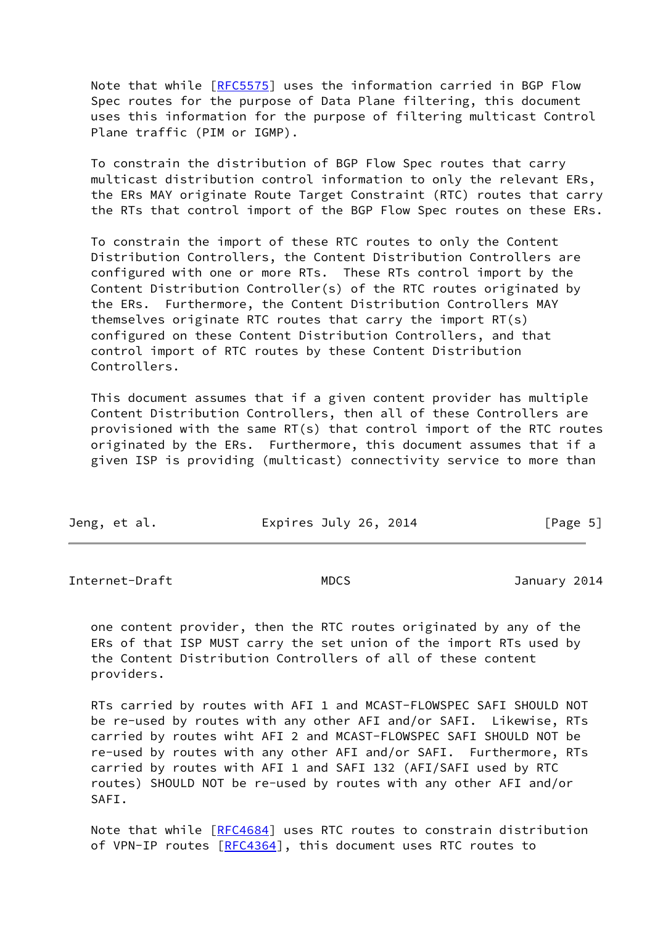Note that while [\[RFC5575](https://datatracker.ietf.org/doc/pdf/rfc5575)] uses the information carried in BGP Flow Spec routes for the purpose of Data Plane filtering, this document uses this information for the purpose of filtering multicast Control Plane traffic (PIM or IGMP).

 To constrain the distribution of BGP Flow Spec routes that carry multicast distribution control information to only the relevant ERs, the ERs MAY originate Route Target Constraint (RTC) routes that carry the RTs that control import of the BGP Flow Spec routes on these ERs.

 To constrain the import of these RTC routes to only the Content Distribution Controllers, the Content Distribution Controllers are configured with one or more RTs. These RTs control import by the Content Distribution Controller(s) of the RTC routes originated by the ERs. Furthermore, the Content Distribution Controllers MAY themselves originate RTC routes that carry the import RT(s) configured on these Content Distribution Controllers, and that control import of RTC routes by these Content Distribution Controllers.

 This document assumes that if a given content provider has multiple Content Distribution Controllers, then all of these Controllers are provisioned with the same RT(s) that control import of the RTC routes originated by the ERs. Furthermore, this document assumes that if a given ISP is providing (multicast) connectivity service to more than

| Expires July 26, 2014<br>Jeng, et al. | [Page 5] |
|---------------------------------------|----------|
|---------------------------------------|----------|

<span id="page-5-0"></span>Internet-Draft MDCS MDCS January 2014

 one content provider, then the RTC routes originated by any of the ERs of that ISP MUST carry the set union of the import RTs used by the Content Distribution Controllers of all of these content providers.

 RTs carried by routes with AFI 1 and MCAST-FLOWSPEC SAFI SHOULD NOT be re-used by routes with any other AFI and/or SAFI. Likewise, RTs carried by routes wiht AFI 2 and MCAST-FLOWSPEC SAFI SHOULD NOT be re-used by routes with any other AFI and/or SAFI. Furthermore, RTs carried by routes with AFI 1 and SAFI 132 (AFI/SAFI used by RTC routes) SHOULD NOT be re-used by routes with any other AFI and/or SAFI.

 Note that while [\[RFC4684](https://datatracker.ietf.org/doc/pdf/rfc4684)] uses RTC routes to constrain distribution of VPN-IP routes [\[RFC4364](https://datatracker.ietf.org/doc/pdf/rfc4364)], this document uses RTC routes to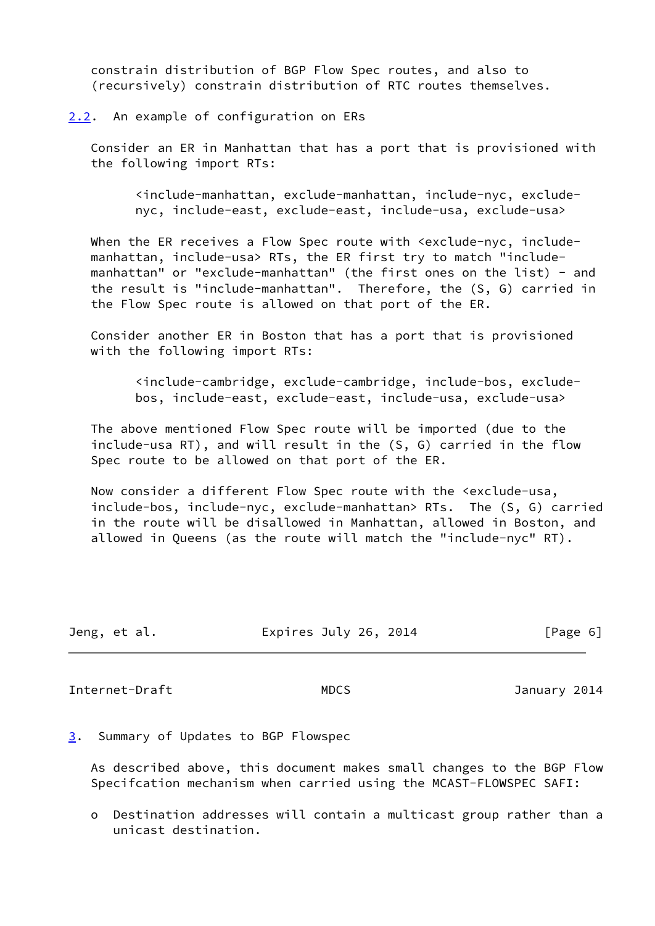constrain distribution of BGP Flow Spec routes, and also to (recursively) constrain distribution of RTC routes themselves.

<span id="page-6-0"></span>[2.2](#page-6-0). An example of configuration on ERs

 Consider an ER in Manhattan that has a port that is provisioned with the following import RTs:

 <include-manhattan, exclude-manhattan, include-nyc, exclude nyc, include-east, exclude-east, include-usa, exclude-usa>

When the ER receives a Flow Spec route with <exclude-nyc, include manhattan, include-usa> RTs, the ER first try to match "include manhattan" or "exclude-manhattan" (the first ones on the list) - and the result is "include-manhattan". Therefore, the (S, G) carried in the Flow Spec route is allowed on that port of the ER.

 Consider another ER in Boston that has a port that is provisioned with the following import RTs:

 <include-cambridge, exclude-cambridge, include-bos, exclude bos, include-east, exclude-east, include-usa, exclude-usa>

 The above mentioned Flow Spec route will be imported (due to the include-usa RT), and will result in the (S, G) carried in the flow Spec route to be allowed on that port of the ER.

 Now consider a different Flow Spec route with the <exclude-usa, include-bos, include-nyc, exclude-manhattan> RTs. The (S, G) carried in the route will be disallowed in Manhattan, allowed in Boston, and allowed in Queens (as the route will match the "include-nyc" RT).

| Jeng, et al. | Expires July 26, 2014 | [Page 6] |
|--------------|-----------------------|----------|
|              |                       |          |

<span id="page-6-2"></span>Internet-Draft MDCS MDCS January 2014

<span id="page-6-1"></span>[3](#page-6-1). Summary of Updates to BGP Flowspec

 As described above, this document makes small changes to the BGP Flow Specifcation mechanism when carried using the MCAST-FLOWSPEC SAFI:

 o Destination addresses will contain a multicast group rather than a unicast destination.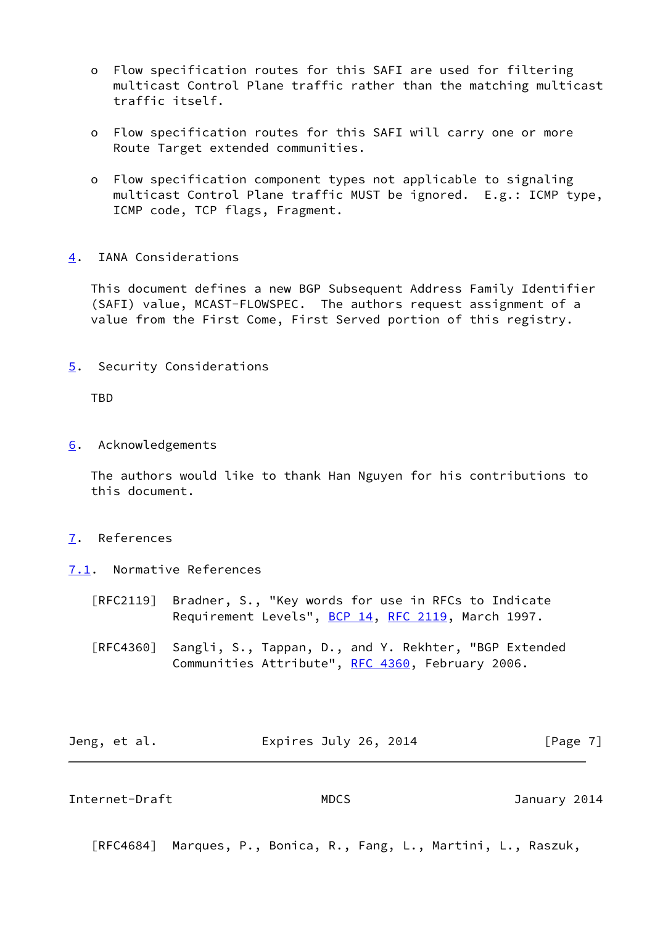- o Flow specification routes for this SAFI are used for filtering multicast Control Plane traffic rather than the matching multicast traffic itself.
- o Flow specification routes for this SAFI will carry one or more Route Target extended communities.
- o Flow specification component types not applicable to signaling multicast Control Plane traffic MUST be ignored. E.g.: ICMP type, ICMP code, TCP flags, Fragment.
- <span id="page-7-0"></span>[4](#page-7-0). IANA Considerations

 This document defines a new BGP Subsequent Address Family Identifier (SAFI) value, MCAST-FLOWSPEC. The authors request assignment of a value from the First Come, First Served portion of this registry.

<span id="page-7-1"></span>[5](#page-7-1). Security Considerations

TBD

<span id="page-7-2"></span>[6](#page-7-2). Acknowledgements

 The authors would like to thank Han Nguyen for his contributions to this document.

- <span id="page-7-3"></span>[7](#page-7-3). References
- <span id="page-7-4"></span>[7.1](#page-7-4). Normative References
	- [RFC2119] Bradner, S., "Key words for use in RFCs to Indicate Requirement Levels", [BCP 14](https://datatracker.ietf.org/doc/pdf/bcp14), [RFC 2119](https://datatracker.ietf.org/doc/pdf/rfc2119), March 1997.
	- [RFC4360] Sangli, S., Tappan, D., and Y. Rekhter, "BGP Extended Communities Attribute", [RFC 4360,](https://datatracker.ietf.org/doc/pdf/rfc4360) February 2006.

| Jeng, et al. | Expires July 26, 2014 | [Page 7] |
|--------------|-----------------------|----------|
|--------------|-----------------------|----------|

<span id="page-7-5"></span>Internet-Draft MDCS January 2014

[RFC4684] Marques, P., Bonica, R., Fang, L., Martini, L., Raszuk,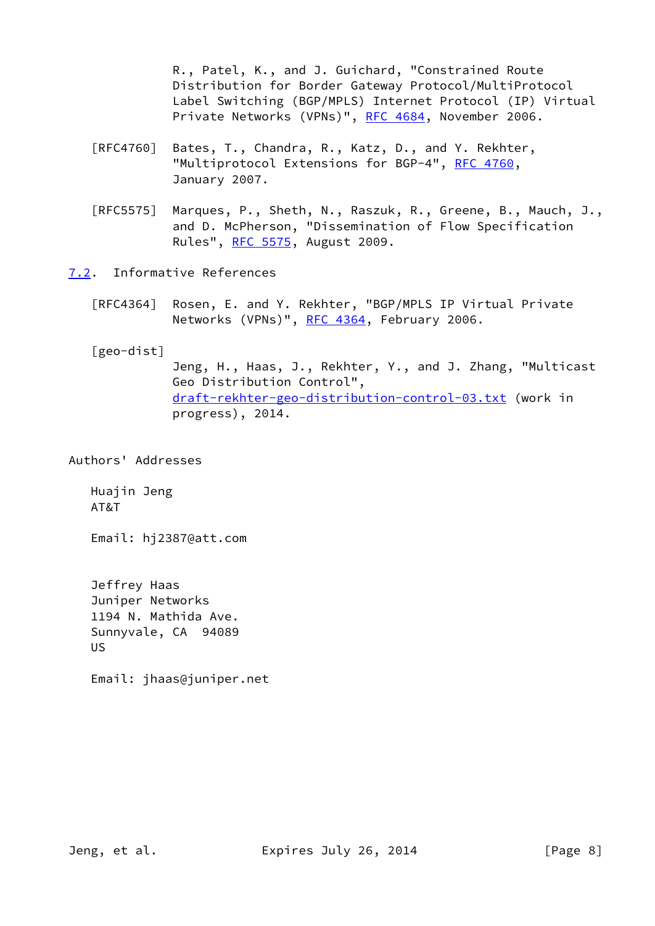R., Patel, K., and J. Guichard, "Constrained Route Distribution for Border Gateway Protocol/MultiProtocol Label Switching (BGP/MPLS) Internet Protocol (IP) Virtual Private Networks (VPNs)", [RFC 4684](https://datatracker.ietf.org/doc/pdf/rfc4684), November 2006.

- [RFC4760] Bates, T., Chandra, R., Katz, D., and Y. Rekhter, "Multiprotocol Extensions for BGP-4", [RFC 4760](https://datatracker.ietf.org/doc/pdf/rfc4760), January 2007.
- [RFC5575] Marques, P., Sheth, N., Raszuk, R., Greene, B., Mauch, J., and D. McPherson, "Dissemination of Flow Specification Rules", [RFC 5575,](https://datatracker.ietf.org/doc/pdf/rfc5575) August 2009.
- <span id="page-8-0"></span>[7.2](#page-8-0). Informative References
	- [RFC4364] Rosen, E. and Y. Rekhter, "BGP/MPLS IP Virtual Private Networks (VPNs)", [RFC 4364](https://datatracker.ietf.org/doc/pdf/rfc4364), February 2006.
	- [geo-dist]

<span id="page-8-1"></span> Jeng, H., Haas, J., Rekhter, Y., and J. Zhang, "Multicast Geo Distribution Control", [draft-rekhter-geo-distribution-control-03.txt](https://datatracker.ietf.org/doc/pdf/draft-rekhter-geo-distribution-control-03.txt) (work in progress), 2014.

Authors' Addresses

 Huajin Jeng AT&T

Email: hj2387@att.com

 Jeffrey Haas Juniper Networks 1194 N. Mathida Ave. Sunnyvale, CA 94089 US

Email: jhaas@juniper.net